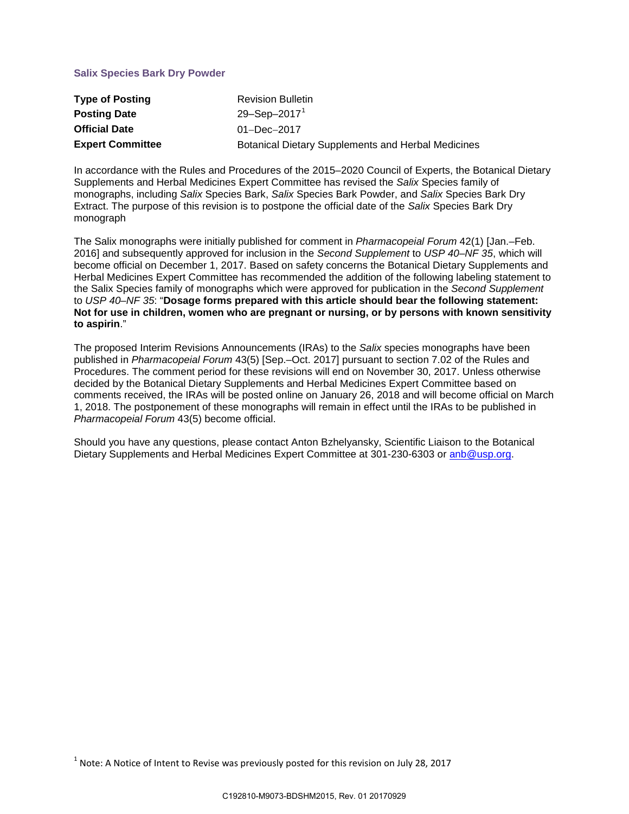# **Salix Species Bark Dry Powder**

| <b>Type of Posting</b>  | <b>Revision Bulletin</b>                                  |
|-------------------------|-----------------------------------------------------------|
| <b>Posting Date</b>     | 29-Sep-2017 <sup>1</sup>                                  |
| <b>Official Date</b>    | $01 - Dec - 2017$                                         |
| <b>Expert Committee</b> | <b>Botanical Dietary Supplements and Herbal Medicines</b> |

In accordance with the Rules and Procedures of the 2015–2020 Council of Experts, the Botanical Dietary Supplements and Herbal Medicines Expert Committee has revised the *Salix* Species family of monographs, including *Salix* Species Bark, *Salix* Species Bark Powder, and *Salix* Species Bark Dry Extract. The purpose of this revision is to postpone the official date of the *Salix* Species Bark Dry monograph

The Salix monographs were initially published for comment in *Pharmacopeial Forum* 42(1) [Jan.–Feb. 2016] and subsequently approved for inclusion in the *Second Supplement* to *USP 40–NF 35*, which will become official on December 1, 2017. Based on safety concerns the Botanical Dietary Supplements and Herbal Medicines Expert Committee has recommended the addition of the following labeling statement to the Salix Species family of monographs which were approved for publication in the *Second Supplement* to *USP 40–NF 35*: "**Dosage forms prepared with this article should bear the following statement: Not for use in children, women who are pregnant or nursing, or by persons with known sensitivity to aspirin**."

The proposed Interim Revisions Announcements (IRAs) to the *Salix* species monographs have been published in *Pharmacopeial Forum* 43(5) [Sep.–Oct. 2017] pursuant to section 7.02 of the Rules and Procedures. The comment period for these revisions will end on November 30, 2017. Unless otherwise decided by the Botanical Dietary Supplements and Herbal Medicines Expert Committee based on comments received, the IRAs will be posted online on January 26, 2018 and will become official on March 1, 2018. The postponement of these monographs will remain in effect until the IRAs to be published in *Pharmacopeial Forum* 43(5) become official.

Should you have any questions, please contact Anton Bzhelyansky, Scientific Liaison to the Botanical Dietary Supplements and Herbal Medicines Expert Committee at 301-230-6303 or [anb@usp.org.](mailto:anb@usp.org)

<span id="page-0-0"></span> $1$  Note: A Notice of Intent to Revise was previously posted for this revision on July 28, 2017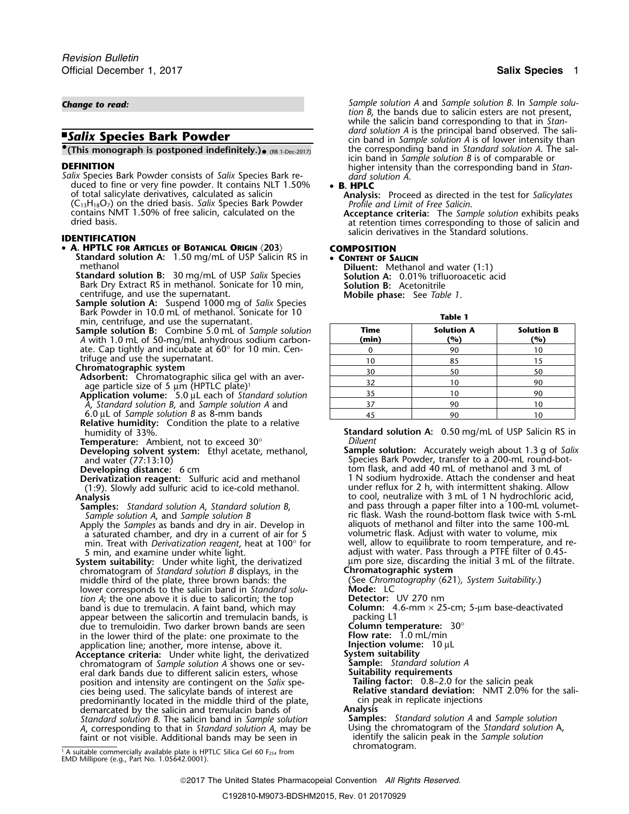*Salix* Species Bark Powder consists of *Salix* Species Bark re- *dard solution are also dueed to fine or very fine powder. It contains NLT 1.50% • B. HPLC* duced to fine or very fine powder. It contains NLT 1.50% of total salicylate derivatives, calculated as salicin **Analysis:** Proceed as directed in the test for Salicylates<br>(C<sub>13</sub>H<sub>18</sub>O<sub>7</sub>) on the dried basis. Salix Species Bark Powder *Profile and Limit of Free Salicin*.<br>contain contains NMT 1.50% of free salicin, calculated on the **Acceptance criteria:** The *Sample solution* exhibits peaks dried basis. at retention times corresponding to those of salicin and

## •**A. HPTLC FOR ARTICLES OF BOTANICAL ORIGIN** 〈**203**〉 **COMPOSITION**

**Standard solution A:** 1.50 mg/mL of USP Salicin RS in • **CONTENT OF SALICIN**

methanol **Diluent:** Methanol and water (1:1) **Standard solution B:**<sup>30</sup> mg/mL of USP *Salix* Species **Solution A:** 0.01% trifluoroacetic acid Bark Dry Extract RS in methanol. Sonicate for 10 min, centrifuge, and use the supernatant. **Mobile phase:** See *Table 1*. **Sample solution A:** Suspend 1000 mg of *Salix* Species

Bark Powder in 10.0 mL of methanol. Sonicate for 10 **Table 1** min, centrifuge, and use the supernatant.

**Relative humidity:** Condition the plate to a relative

**Derivatization reagent:** Sulfuric acid and methanol (1:9). Slowly add sulfuric acid to ice-cold methanol.

- 
- Apply the *Samples* as bands and dry in air. Develop in aliquots of methanol and filter into the same 100-<br>a saturated chamber, and dry in a current of air for 5 volumetric flask. Adjust with water to volume, mix min. Treat with *Derivatization reagent*, heat at 100° for 5 min, and examine under white light.
- **System suitability:** Under white light, the derivatized unit pore size, discarding the informatographic system chromatographic system chromatogram of *Standard solution B* displays, in the **Chromatographic system** middle third of the plate, three brown bands: the (See *Chrom* lower corresponds to the salicin band in *Standard solu*. lower corresponds to the salicin band in *Standard solu*<br>tion A; the one above it is due to salicortin; the top **Detector:** UV 270 nm *tion A*; the one above it is due to salicortin; the top **Detector:** UV 270 nm band is due to tremulacin. A faint band, which may **Column:** 4.6-appear between the salicortin and tremulacin bands, is packing L1 appear between the salicortin and tremulacin bands, is  $\qquad$  packing L1 and parameters  $30^{\circ}$  due to tremuloidin. Two darker brown bands are seen **Column temperature**:  $30^{\circ}$ due to tremuloidin. Two darker brown bands are seen **Column temperature:**<br>in the lower third of the plate: one proximate to the **Flow rate:** 1.0 mL/min in the lower third of the plate: one proximate to the **Flow rate:** 1.0 mL/min application line; another, more intense, above it. **Injection volume:**<sup>10</sup> <sup>µ</sup><sup>L</sup>
- **Acceptance criteria:** Under white light, the derivatized **System suitability** chromatogram of *Sample solution A* shows one or sev- **Sample:** *Standard solution A* eral dark bands due to different salicin esters, whose **Suitability requirements**<br>
position and intensity are contingent on the *Salix* spe-**Tailing factor:** 0.8–2.0 for the salicin peak position and intensity are contingent on the *Salix* spe-<br>cies being used. The salicylate bands of interest are predominantly located in the middle third of the plate, cin pear in replication of the salicin and tremulacin bands of **Analysis** demarcated by the salicin and tremulacin bands of **Analysis** *Standard solution B*. The salicin band in *Sample solution* **Samples:** *Standard solution A* and *Sample solution <sup>A</sup>*, corresponding to that in *Standard solution A*, may be Using the chromatogram of the *Standard solution* A, faint or not visible. Additional bands may be seen in identify the salicin in identify the salicin peak in the *Sample solution* of *Sample solution* in the *Sample solution* of *Sample solution* in the *Sample solution* o

*Change to read: Sample solution A* and *Sample solution B*. In *Sample solution B*, the bands due to salicin esters are not present, while the salicin band corresponding to that in *Stan-* **.** *dard solution A* **is the principal band observed. The sali- <b>and <b>Sality** Species Bark Powder **Alternative Constant Constant Constant** Cin band in Sample solution A is of lower intensity than *cin band in <i>Sample solution A* is of lower intensity than the corresponding band in *Standard solution A*. The sal-**(This monograph is postponed indefinitely.).** (RB 1-Dec-2017) the corresponding band in *Standard solution A*. The sal-**IFFORT IS A ISLAM** in *Sample solution B* is of comparable or internal parameters of *Salix* Species Bark re-<br> *Salix* Species Bark Powder consists of *Salix* Species Bark re-<br> *Salix* Species Bark Powder consists of *Sal* 

salicin derivatives in the Standard solutions. **IDENTIFICATION**

| ۰.<br>. .<br>×<br>M<br>٠ |  |
|--------------------------|--|
|--------------------------|--|

| min, centrifuge, and use the supernatant.                                                                                    |       |                   |                   |
|------------------------------------------------------------------------------------------------------------------------------|-------|-------------------|-------------------|
| <b>Sample solution B:</b> Combine 5.0 mL of Sample solution                                                                  | Time  | <b>Solution A</b> | <b>Solution B</b> |
| A with 1.0 mL of 50-mg/mL anhydrous sodium carbon-                                                                           | (min) | (%)               | (%)               |
| ate. Cap tightly and incubate at $60^{\circ}$ for 10 min. Cen-<br>trifuge and use the supernatant.<br>Chromatographic system |       | 90                |                   |
|                                                                                                                              | 10    | 85                |                   |
|                                                                                                                              | 30    | 50                | 50                |
| Adsorbent: Chromatographic silica gel with an aver-                                                                          | 32    |                   | 90                |
| age particle size of 5 $\mu$ m (HPTLC plate) <sup>1</sup>                                                                    | 35    |                   | 90                |
| Application volume: $5.0 \mu L$ each of Standard solution                                                                    |       |                   |                   |
| A, Standard solution B, and Sample solution A and                                                                            |       | 90                |                   |
| 6.0 $\mu$ L of <i>Sample solution B</i> as 8-mm bands                                                                        | 45    | 90                |                   |

**Standard solution A:** 0.50 mg/mL of USP Salicin RS in Diluent **Temperature:** Ambient, not to exceed 30° *Diluent*

**Developing solvent system:** Ethyl acetate, methanol, **Sample solution:** Accurately weigh about 1.3 g of *Salix* and water (77:13:10) Species Bark Powder, transfer to a 200-mL round-bot-**Developing distance:** 6 cm **beveloping 6 cm** tom flask, and add 40 mL of methanol and 3 mL of **Derivatization reagent:** Sulfuric acid and methanol **1 N** sodium hydroxide. Attach the condenser and heat (1:9). Slowly add sulfuric acid to ice-cold methanol. under reflux for 2 h, with intermittent shaking. Allow<br>to cool, neutralize with 3 mL of 1 N hydrochloric acic Analysis<br>
Analysis **Analysis** to cool, neutralize with 3 mL of 1 N hydrochloric acid,<br> **Samples:** Standard solution A, Standard solution B, and pass through a paper filter into a 100-mL volumet **Samples:** *Standard solution A*, *Standard solution B*, and pass through a paper filter into a 100-mL volumet-*Sample solution A*, and *Sample solution B* ric flask. Wash the round-bottom flask twice with 5-mL a saturated chamber, and dry in a current of air for 5 volumetric flask. Adjust with water to volume, mix<br>min. Treat with *Derivatization reagent*, heat at 100° for well, allow to equilibrate to room temperature, and readjust with water. Pass through a PTFE filter of 0.45-<br>um pore size, discarding the initial 3 mL of the filtrate.

**Relative standard deviation:** NMT 2.0% for the salicin peak in replicate injections

chromatogram. 1. A suitable commercially available plate is HPTLC Silica Gel 60 F254 from EMD Millipore (e.g., Part No. 1.05642.0001).

2017 The United States Pharmacopeial Convention *All Rights Reserved.*